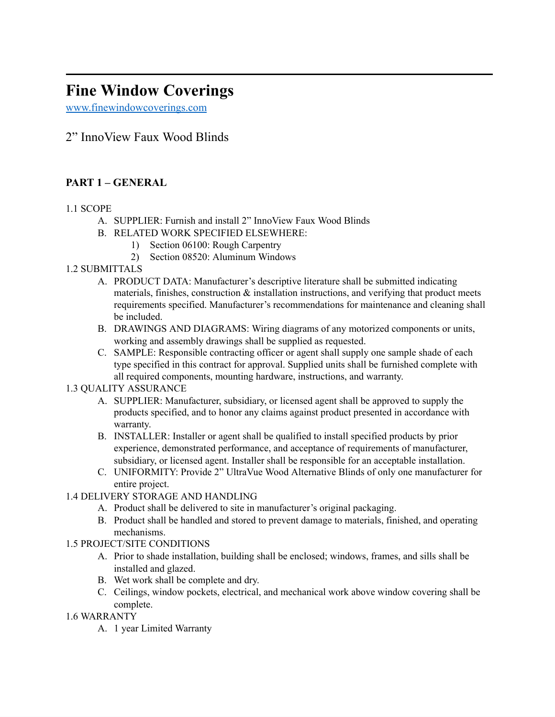# **Fine Window Coverings**

[www.finewindowcoverings.com](http://www.finewindowcoverings.com/)

# 2" InnoView Faux Wood Blinds

## **PART 1 – GENERAL**

## 1.1 SCOPE

- A. SUPPLIER: Furnish and install 2" InnoView Faux Wood Blinds
- B. RELATED WORK SPECIFIED ELSEWHERE:
	- 1) Section 06100: Rough Carpentry
	- 2) Section 08520: Aluminum Windows

## 1.2 SUBMITTALS

- A. PRODUCT DATA: Manufacturer's descriptive literature shall be submitted indicating materials, finishes, construction  $\&$  installation instructions, and verifying that product meets requirements specified. Manufacturer's recommendations for maintenance and cleaning shall be included.
- B. DRAWINGS AND DIAGRAMS: Wiring diagrams of any motorized components or units, working and assembly drawings shall be supplied as requested.
- C. SAMPLE: Responsible contracting officer or agent shall supply one sample shade of each type specified in this contract for approval. Supplied units shall be furnished complete with all required components, mounting hardware, instructions, and warranty.

### 1.3 QUALITY ASSURANCE

- A. SUPPLIER: Manufacturer, subsidiary, or licensed agent shall be approved to supply the products specified, and to honor any claims against product presented in accordance with warranty.
- B. INSTALLER: Installer or agent shall be qualified to install specified products by prior experience, demonstrated performance, and acceptance of requirements of manufacturer, subsidiary, or licensed agent. Installer shall be responsible for an acceptable installation.
- C. UNIFORMITY: Provide 2" UltraVue Wood Alternative Blinds of only one manufacturer for entire project.
- 1.4 DELIVERY STORAGE AND HANDLING
	- A. Product shall be delivered to site in manufacturer's original packaging.
	- B. Product shall be handled and stored to prevent damage to materials, finished, and operating mechanisms.

## 1.5 PROJECT/SITE CONDITIONS

- A. Prior to shade installation, building shall be enclosed; windows, frames, and sills shall be installed and glazed.
- B. Wet work shall be complete and dry.
- C. Ceilings, window pockets, electrical, and mechanical work above window covering shall be complete.

### 1.6 WARRANTY

A. 1 year Limited Warranty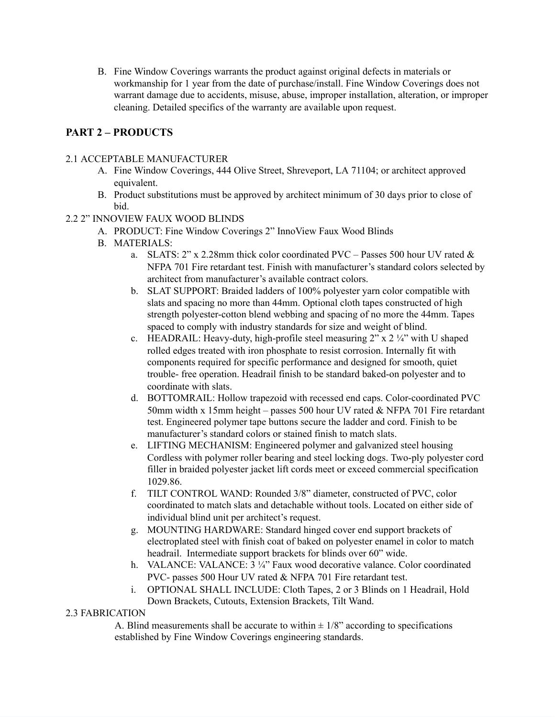B. Fine Window Coverings warrants the product against original defects in materials or workmanship for 1 year from the date of purchase/install. Fine Window Coverings does not warrant damage due to accidents, misuse, abuse, improper installation, alteration, or improper cleaning. Detailed specifics of the warranty are available upon request.

## **PART 2 – PRODUCTS**

#### 2.1 ACCEPTABLE MANUFACTURER

- A. Fine Window Coverings, 444 Olive Street, Shreveport, LA 71104; or architect approved equivalent.
- B. Product substitutions must be approved by architect minimum of 30 days prior to close of bid.
- 2.2 2" INNOVIEW FAUX WOOD BLINDS
	- A. PRODUCT: Fine Window Coverings 2" InnoView Faux Wood Blinds
	- B. MATERIALS:
		- a. SLATS:  $2"$  x 2.28mm thick color coordinated PVC Passes 500 hour UV rated & NFPA 701 Fire retardant test. Finish with manufacturer's standard colors selected by architect from manufacturer's available contract colors.
		- b. SLAT SUPPORT: Braided ladders of 100% polyester yarn color compatible with slats and spacing no more than 44mm. Optional cloth tapes constructed of high strength polyester-cotton blend webbing and spacing of no more the 44mm. Tapes spaced to comply with industry standards for size and weight of blind.
		- c. HEADRAIL: Heavy-duty, high-profile steel measuring  $2"$  x  $2\frac{1}{4}$ " with U shaped rolled edges treated with iron phosphate to resist corrosion. Internally fit with components required for specific performance and designed for smooth, quiet trouble- free operation. Headrail finish to be standard baked-on polyester and to coordinate with slats.
		- d. BOTTOMRAIL: Hollow trapezoid with recessed end caps. Color-coordinated PVC 50mm width x 15mm height – passes 500 hour UV rated & NFPA 701 Fire retardant test. Engineered polymer tape buttons secure the ladder and cord. Finish to be manufacturer's standard colors or stained finish to match slats.
		- e. LIFTING MECHANISM: Engineered polymer and galvanized steel housing Cordless with polymer roller bearing and steel locking dogs. Two-ply polyester cord filler in braided polyester jacket lift cords meet or exceed commercial specification 1029.86.
		- f. TILT CONTROL WAND: Rounded 3/8" diameter, constructed of PVC, color coordinated to match slats and detachable without tools. Located on either side of individual blind unit per architect's request.
		- g. MOUNTING HARDWARE: Standard hinged cover end support brackets of electroplated steel with finish coat of baked on polyester enamel in color to match headrail. Intermediate support brackets for blinds over 60" wide.
		- h. VALANCE: VALANCE: 3 ¼" Faux wood decorative valance. Color coordinated PVC- passes 500 Hour UV rated & NFPA 701 Fire retardant test.
		- i. OPTIONAL SHALL INCLUDE: Cloth Tapes, 2 or 3 Blinds on 1 Headrail, Hold Down Brackets, Cutouts, Extension Brackets, Tilt Wand.

### 2.3 FABRICATION

A. Blind measurements shall be accurate to within  $\pm 1/8$ " according to specifications established by Fine Window Coverings engineering standards.